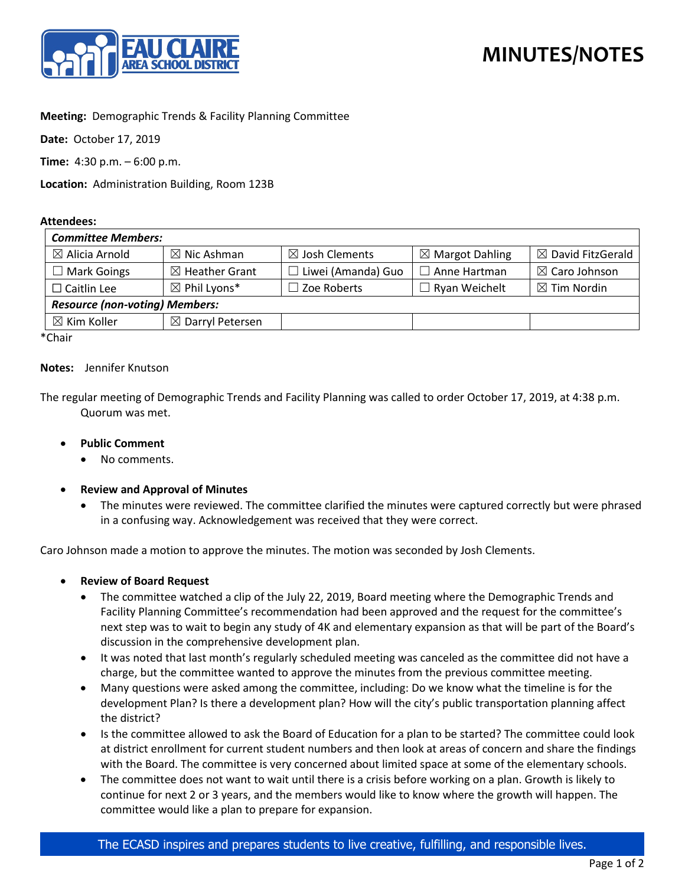

## **Meeting:** Demographic Trends & Facility Planning Committee

**Date:** October 17, 2019

**Time:** 4:30 p.m. – 6:00 p.m.

**Location:** Administration Building, Room 123B

#### **Attendees:**

| <b>Committee Members:</b>             |                             |                           |                            |                              |
|---------------------------------------|-----------------------------|---------------------------|----------------------------|------------------------------|
| $\boxtimes$ Alicia Arnold             | $\boxtimes$ Nic Ashman      | $\boxtimes$ Josh Clements | $\boxtimes$ Margot Dahling | $\boxtimes$ David FitzGerald |
| $\Box$ Mark Goings                    | $\boxtimes$ Heather Grant   | $\Box$ Liwei (Amanda) Guo | $\Box$ Anne Hartman        | $\boxtimes$ Caro Johnson     |
| $\Box$ Caitlin Lee                    | $\boxtimes$ Phil Lyons*     | $\Box$ Zoe Roberts        | □ Ryan Weichelt            | $\boxtimes$ Tim Nordin       |
| <b>Resource (non-voting) Members:</b> |                             |                           |                            |                              |
| $\boxtimes$ Kim Koller                | $\boxtimes$ Darryl Petersen |                           |                            |                              |

\*Chair

#### **Notes:** Jennifer Knutson

The regular meeting of Demographic Trends and Facility Planning was called to order October 17, 2019, at 4:38 p.m. Quorum was met.

### • **Public Comment**

- No comments.
- **Review and Approval of Minutes**
	- The minutes were reviewed. The committee clarified the minutes were captured correctly but were phrased in a confusing way. Acknowledgement was received that they were correct.

Caro Johnson made a motion to approve the minutes. The motion was seconded by Josh Clements.

- **Review of Board Request**
	- The committee watched a clip of the July 22, 2019, Board meeting where the Demographic Trends and Facility Planning Committee's recommendation had been approved and the request for the committee's next step was to wait to begin any study of 4K and elementary expansion as that will be part of the Board's discussion in the comprehensive development plan.
	- It was noted that last month's regularly scheduled meeting was canceled as the committee did not have a charge, but the committee wanted to approve the minutes from the previous committee meeting.
	- Many questions were asked among the committee, including: Do we know what the timeline is for the development Plan? Is there a development plan? How will the city's public transportation planning affect the district?
	- Is the committee allowed to ask the Board of Education for a plan to be started? The committee could look at district enrollment for current student numbers and then look at areas of concern and share the findings with the Board. The committee is very concerned about limited space at some of the elementary schools.
	- The committee does not want to wait until there is a crisis before working on a plan. Growth is likely to continue for next 2 or 3 years, and the members would like to know where the growth will happen. The committee would like a plan to prepare for expansion.